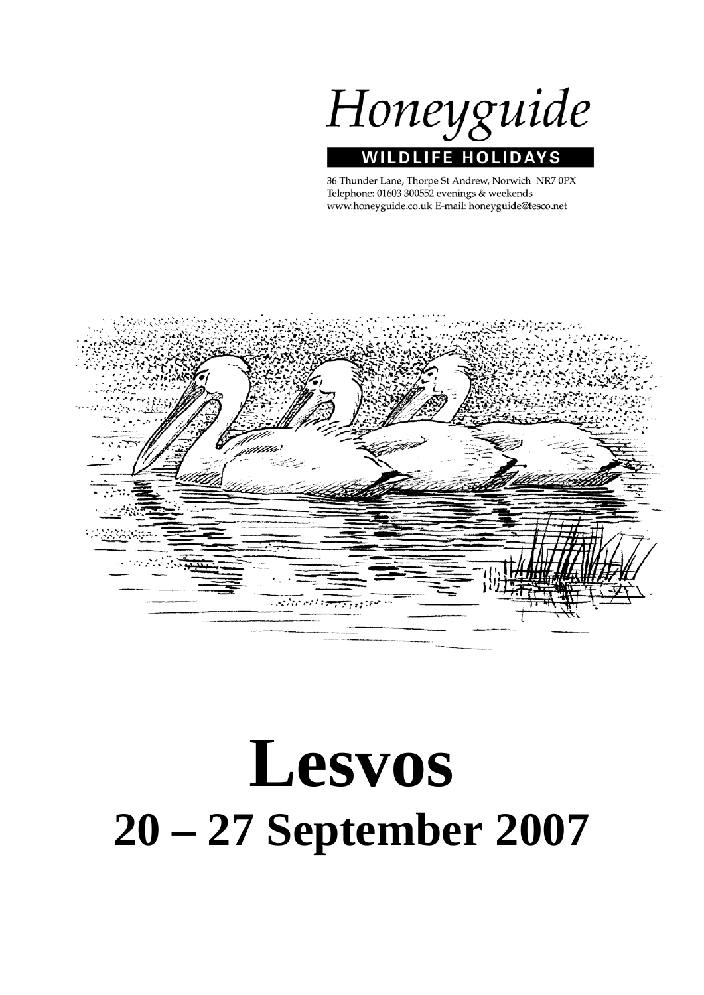Honeyguide **WILDLIFE HOLIDAY** S

36 Thunder Lane, Thorpe St Andrew, Norwich NR7 0PX Telephone: 01603 300552 evenings & weekends www.honeyguide.co.uk E-mail: honeyguide@tesco.net



# **Lesvos 20 – 27 September 2007**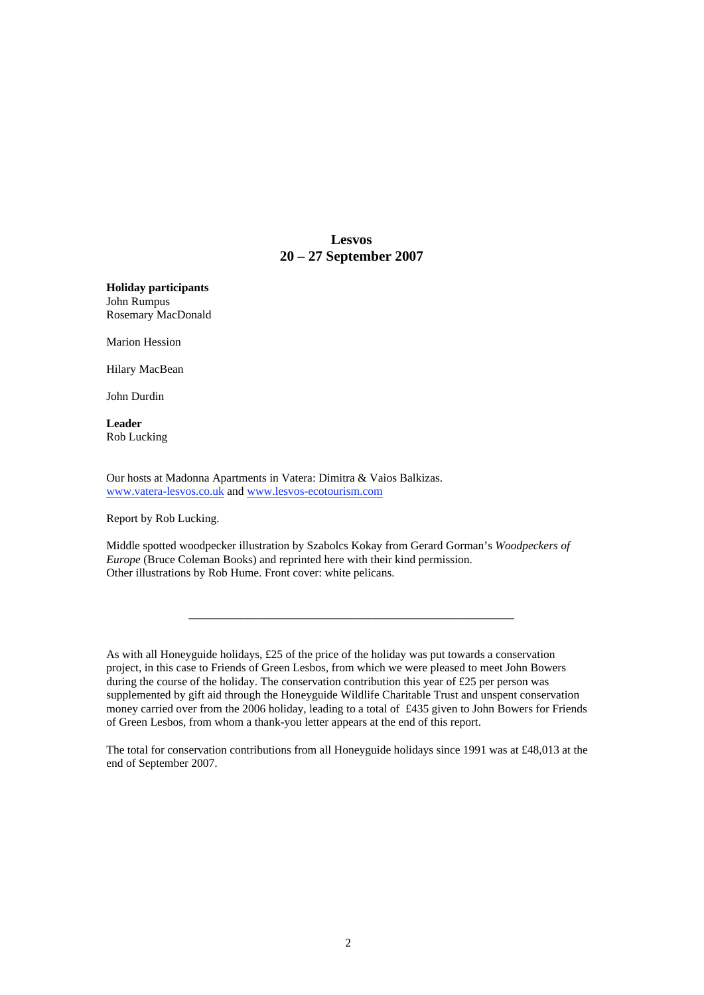# **Lesvos 20 – 27 September 2007**

**Holiday participants** John Rumpus Rosemary MacDonald

Marion Hession

Hilary MacBean

John Durdin

**Leader** Rob Lucking

Our hosts at Madonna Apartments in Vatera: Dimitra & Vaios Balkizas. www.vatera-lesvos.co.uk and www.lesvos-ecotourism.com

Report by Rob Lucking.

Middle spotted woodpecker illustration by Szabolcs Kokay from Gerard Gorman's *Woodpeckers of Europe* (Bruce Coleman Books) and reprinted here with their kind permission. Other illustrations by Rob Hume. Front cover: white pelicans.

As with all Honeyguide holidays, £25 of the price of the holiday was put towards a conservation project, in this case to Friends of Green Lesbos, from which we were pleased to meet John Bowers during the course of the holiday. The conservation contribution this year of £25 per person was supplemented by gift aid through the Honeyguide Wildlife Charitable Trust and unspent conservation money carried over from the 2006 holiday, leading to a total of £435 given to John Bowers for Friends of Green Lesbos, from whom a thank-you letter appears at the end of this report.

\_\_\_\_\_\_\_\_\_\_\_\_\_\_\_\_\_\_\_\_\_\_\_\_\_\_\_\_\_\_\_\_\_\_\_\_\_\_\_\_\_\_\_\_\_\_\_\_\_\_\_\_\_\_\_\_

The total for conservation contributions from all Honeyguide holidays since 1991 was at  $\text{\pounds}48,013$  at the end of September 2007.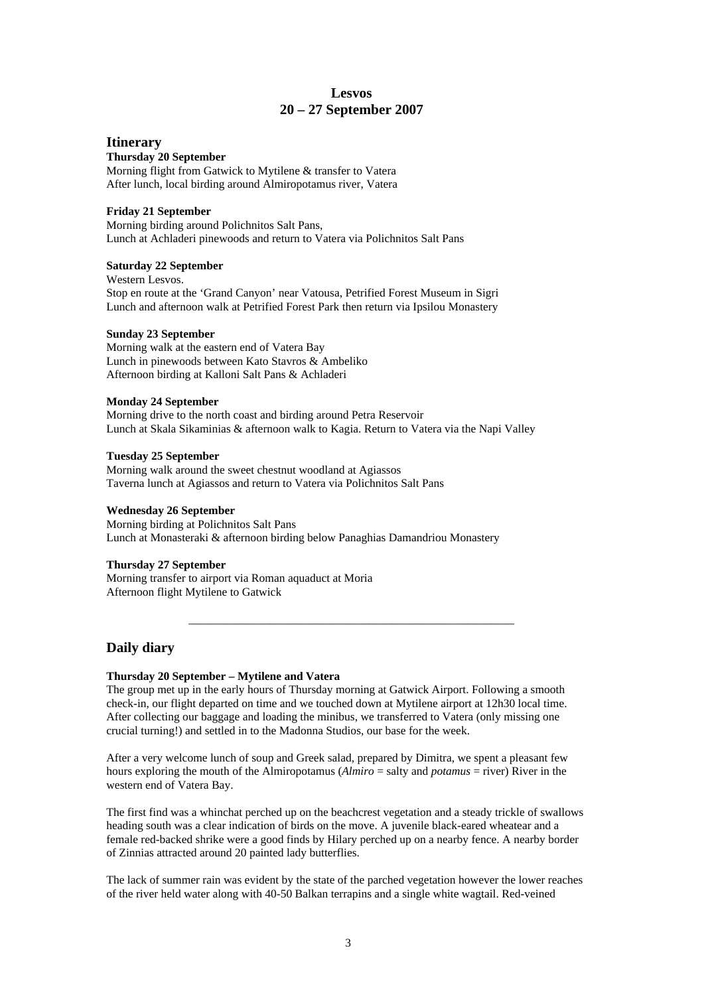### **Lesvos 20 – 27 September 2007**

#### **Itinerary**

#### **Thursday 20 September**

Morning flight from Gatwick to Mytilene & transfer to Vatera After lunch, local birding around Almiropotamus river, Vatera

#### **Friday 21 September**

Morning birding around Polichnitos Salt Pans, Lunch at Achladeri pinewoods and return to Vatera via Polichnitos Salt Pans

#### **Saturday 22 September**

Western Lesvos. Stop en route at the 'Grand Canyon' near Vatousa, Petrified Forest Museum in Sigri Lunch and afternoon walk at Petrified Forest Park then return via Ipsilou Monastery

#### **Sunday 23 September**

Morning walk at the eastern end of Vatera Bay Lunch in pinewoods between Kato Stavros & Ambeliko Afternoon birding at Kalloni Salt Pans & Achladeri

#### **Monday 24 September**

Morning drive to the north coast and birding around Petra Reservoir Lunch at Skala Sikaminias & afternoon walk to Kagia. Return to Vatera via the Napi Valley

#### **Tuesday 25 September**

Morning walk around the sweet chestnut woodland at Agiassos Taverna lunch at Agiassos and return to Vatera via Polichnitos Salt Pans

#### **Wednesday 26 September**

Morning birding at Polichnitos Salt Pans Lunch at Monasteraki & afternoon birding below Panaghias Damandriou Monastery

#### **Thursday 27 September**

Morning transfer to airport via Roman aquaduct at Moria Afternoon flight Mytilene to Gatwick

# **Daily diary**

#### **Thursday 20 September – Mytilene and Vatera**

The group met up in the early hours of Thursday morning at Gatwick Airport. Following a smooth check-in, our flight departed on time and we touched down at Mytilene airport at 12h30 local time. After collecting our baggage and loading the minibus, we transferred to Vatera (only missing one crucial turning!) and settled in to the Madonna Studios, our base for the week.

\_\_\_\_\_\_\_\_\_\_\_\_\_\_\_\_\_\_\_\_\_\_\_\_\_\_\_\_\_\_\_\_\_\_\_\_\_\_\_\_\_\_\_\_\_\_\_\_\_\_\_\_\_\_\_\_

After a very welcome lunch of soup and Greek salad, prepared by Dimitra, we spent a pleasant few hours exploring the mouth of the Almiropotamus (*Almiro* = salty and *potamus* = river) River in the western end of Vatera Bay.

The first find was a whinchat perched up on the beachcrest vegetation and a steady trickle of swallows heading south was a clear indication of birds on the move. A juvenile black-eared wheatear and a female red-backed shrike were a good finds by Hilary perched up on a nearby fence. A nearby border of Zinnias attracted around 20 painted lady butterflies.

The lack of summer rain was evident by the state of the parched vegetation however the lower reaches of the river held water along with 40-50 Balkan terrapins and a single white wagtail. Red-veined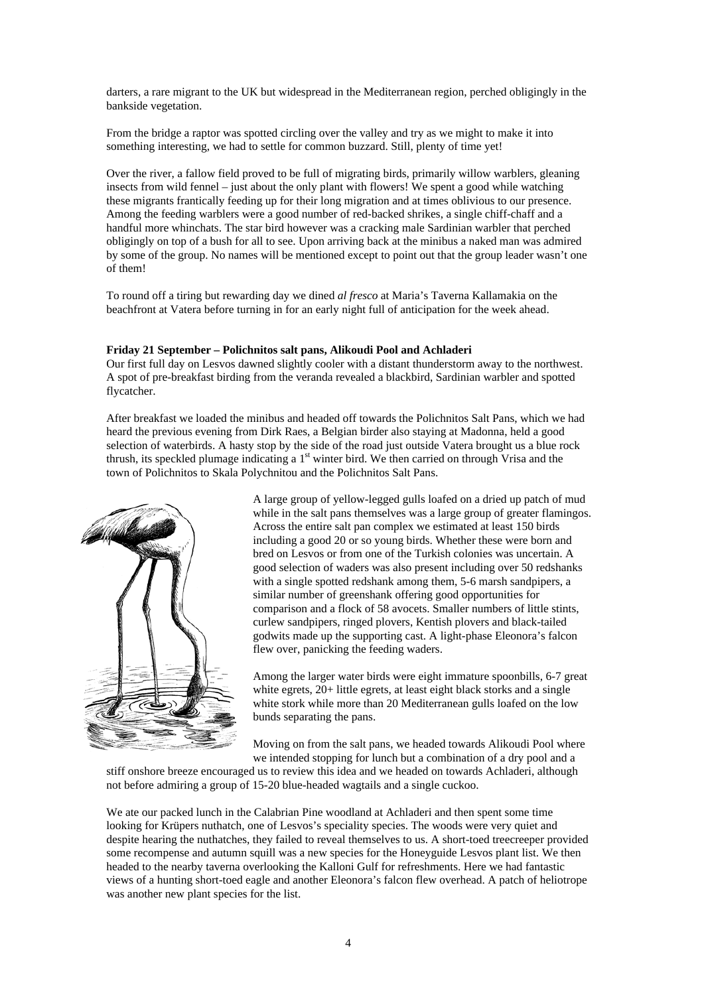darters, a rare migrant to the UK but widespread in the Mediterranean region, perched obligingly in the bankside vegetation.

From the bridge a raptor was spotted circling over the valley and try as we might to make it into something interesting, we had to settle for common buzzard. Still, plenty of time yet!

Over the river, a fallow field proved to be full of migrating birds, primarily willow warblers, gleaning insects from wild fennel – just about the only plant with flowers! We spent a good while watching these migrants frantically feeding up for their long migration and at times oblivious to our presence. Among the feeding warblers were a good number of red-backed shrikes, a single chiff-chaff and a handful more whinchats. The star bird however was a cracking male Sardinian warbler that perched obligingly on top of a bush for all to see. Upon arriving back at the minibus a naked man was admired by some of the group. No names will be mentioned except to point out that the group leader wasn't one of them!

To round off a tiring but rewarding day we dined *al fresco* at Maria's Taverna Kallamakia on the beachfront at Vatera before turning in for an early night full of anticipation for the week ahead.

#### **Friday 21 September – Polichnitos salt pans, Alikoudi Pool and Achladeri**

Our first full day on Lesvos dawned slightly cooler with a distant thunderstorm away to the northwest. A spot of pre-breakfast birding from the veranda revealed a blackbird, Sardinian warbler and spotted flycatcher.

After breakfast we loaded the minibus and headed off towards the Polichnitos Salt Pans, which we had heard the previous evening from Dirk Raes, a Belgian birder also staying at Madonna, held a good selection of waterbirds. A hasty stop by the side of the road just outside Vatera brought us a blue rock thrush, its speckled plumage indicating a 1<sup>st</sup> winter bird. We then carried on through Vrisa and the town of Polichnitos to Skala Polychnitou and the Polichnitos Salt Pans.



A large group of yellow-legged gulls loafed on a dried up patch of mud while in the salt pans themselves was a large group of greater flamingos. Across the entire salt pan complex we estimated at least 150 birds including a good 20 or so young birds. Whether these were born and bred on Lesvos or from one of the Turkish colonies was uncertain. A good selection of waders was also present including over 50 redshanks with a single spotted redshank among them, 5-6 marsh sandpipers, a similar number of greenshank offering good opportunities for comparison and a flock of 58 avocets. Smaller numbers of little stints, curlew sandpipers, ringed plovers, Kentish plovers and black-tailed godwits made up the supporting cast. A light-phase Eleonora's falcon flew over, panicking the feeding waders.

Among the larger water birds were eight immature spoonbills, 6-7 great white egrets, 20+ little egrets, at least eight black storks and a single white stork while more than 20 Mediterranean gulls loafed on the low bunds separating the pans.

Moving on from the salt pans, we headed towards Alikoudi Pool where we intended stopping for lunch but a combination of a dry pool and a

stiff onshore breeze encouraged us to review this idea and we headed on towards Achladeri, although not before admiring a group of 15-20 blue-headed wagtails and a single cuckoo.

We ate our packed lunch in the Calabrian Pine woodland at Achladeri and then spent some time looking for Krüpers nuthatch, one of Lesvos's speciality species. The woods were very quiet and despite hearing the nuthatches, they failed to reveal themselves to us. A short-toed treecreeper provided some recompense and autumn squill was a new species for the Honeyguide Lesvos plant list. We then headed to the nearby taverna overlooking the Kalloni Gulf for refreshments. Here we had fantastic views of a hunting short-toed eagle and another Eleonora's falcon flew overhead. A patch of heliotrope was another new plant species for the list.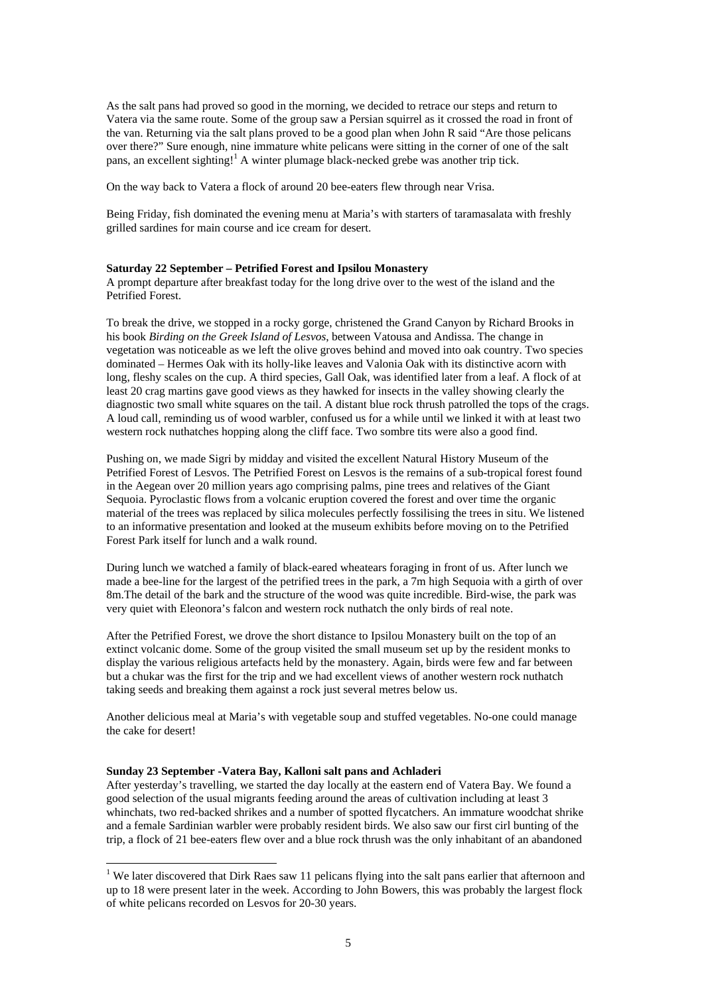As the salt pans had proved so good in the morning, we decided to retrace our steps and return to Vatera via the same route. Some of the group saw a Persian squirrel as it crossed the road in front of the van. Returning via the salt plans proved to be a good plan when John R said "Are those pelicans over there?" Sure enough, nine immature white pelicans were sitting in the corner of one of the salt pans, an excellent sighting!<sup>1</sup> A winter plumage black-necked grebe was another trip tick.

On the way back to Vatera a flock of around 20 bee-eaters flew through near Vrisa.

Being Friday, fish dominated the evening menu at Maria's with starters of taramasalata with freshly grilled sardines for main course and ice cream for desert.

#### **Saturday 22 September – Petrified Forest and Ipsilou Monastery**

A prompt departure after breakfast today for the long drive over to the west of the island and the Petrified Forest.

To break the drive, we stopped in a rocky gorge, christened the Grand Canyon by Richard Brooks in his book *Birding on the Greek Island of Lesvos*, between Vatousa and Andissa. The change in vegetation was noticeable as we left the olive groves behind and moved into oak country. Two species dominated – Hermes Oak with its holly-like leaves and Valonia Oak with its distinctive acorn with long, fleshy scales on the cup. A third species, Gall Oak, was identified later from a leaf. A flock of at least 20 crag martins gave good views as they hawked for insects in the valley showing clearly the diagnostic two small white squares on the tail. A distant blue rock thrush patrolled the tops of the crags. A loud call, reminding us of wood warbler, confused us for a while until we linked it with at least two western rock nuthatches hopping along the cliff face. Two sombre tits were also a good find.

Pushing on, we made Sigri by midday and visited the excellent Natural History Museum of the Petrified Forest of Lesvos. The Petrified Forest on Lesvos is the remains of a sub-tropical forest found in the Aegean over 20 million years ago comprising palms, pine trees and relatives of the Giant Sequoia. Pyroclastic flows from a volcanic eruption covered the forest and over time the organic material of the trees was replaced by silica molecules perfectly fossilising the trees in situ. We listened to an informative presentation and looked at the museum exhibits before moving on to the Petrified Forest Park itself for lunch and a walk round.

During lunch we watched a family of black-eared wheatears foraging in front of us. After lunch we made a bee-line for the largest of the petrified trees in the park, a 7m high Sequoia with a girth of over 8m.The detail of the bark and the structure of the wood was quite incredible. Bird-wise, the park was very quiet with Eleonora's falcon and western rock nuthatch the only birds of real note.

After the Petrified Forest, we drove the short distance to Ipsilou Monastery built on the top of an extinct volcanic dome. Some of the group visited the small museum set up by the resident monks to display the various religious artefacts held by the monastery. Again, birds were few and far between but a chukar was the first for the trip and we had excellent views of another western rock nuthatch taking seeds and breaking them against a rock just several metres below us.

Another delicious meal at Maria's with vegetable soup and stuffed vegetables. No-one could manage the cake for desert!

#### **Sunday 23 September -Vatera Bay, Kalloni salt pans and Achladeri**

After yesterday's travelling, we started the day locally at the eastern end of Vatera Bay. We found a good selection of the usual migrants feeding around the areas of cultivation including at least 3 whinchats, two red-backed shrikes and a number of spotted flycatchers. An immature woodchat shrike and a female Sardinian warbler were probably resident birds. We also saw our first cirl bunting of the trip, a flock of 21 bee-eaters flew over and a blue rock thrush was the only inhabitant of an abandoned

<sup>&</sup>lt;sup>1</sup> We later discovered that Dirk Raes saw 11 pelicans flying into the salt pans earlier that afternoon and up to 18 were present later in the week. According to John Bowers, this was probably the largest flock of white pelicans recorded on Lesvos for 20-30 years.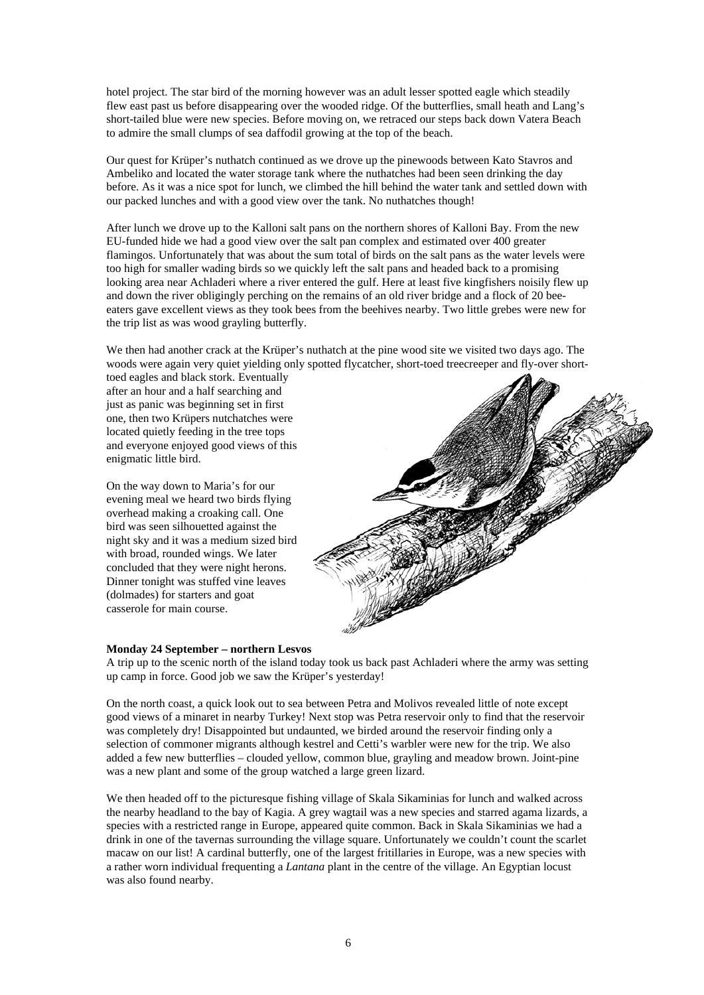hotel project. The star bird of the morning however was an adult lesser spotted eagle which steadily flew east past us before disappearing over the wooded ridge. Of the butterflies, small heath and Lang's short-tailed blue were new species. Before moving on, we retraced our steps back down Vatera Beach to admire the small clumps of sea daffodil growing at the top of the beach.

Our quest for Krüper's nuthatch continued as we drove up the pinewoods between Kato Stavros and Ambeliko and located the water storage tank where the nuthatches had been seen drinking the day before. As it was a nice spot for lunch, we climbed the hill behind the water tank and settled down with our packed lunches and with a good view over the tank. No nuthatches though!

After lunch we drove up to the Kalloni salt pans on the northern shores of Kalloni Bay. From the new EU-funded hide we had a good view over the salt pan complex and estimated over 400 greater flamingos. Unfortunately that was about the sum total of birds on the salt pans as the water levels were too high for smaller wading birds so we quickly left the salt pans and headed back to a promising looking area near Achladeri where a river entered the gulf. Here at least five kingfishers noisily flew up and down the river obligingly perching on the remains of an old river bridge and a flock of 20 beeeaters gave excellent views as they took bees from the beehives nearby. Two little grebes were new for the trip list as was wood grayling butterfly.

We then had another crack at the Krüper's nuthatch at the pine wood site we visited two days ago. The woods were again very quiet yielding only spotted flycatcher, short-toed treecreeper and fly-over short-

toed eagles and black stork. Eventually after an hour and a half searching and just as panic was beginning set in first one, then two Krüpers nutchatches were located quietly feeding in the tree tops and everyone enjoyed good views of this enigmatic little bird.

On the way down to Maria's for our evening meal we heard two birds flying overhead making a croaking call. One bird was seen silhouetted against the night sky and it was a medium sized bird with broad, rounded wings. We later concluded that they were night herons. Dinner tonight was stuffed vine leaves (dolmades) for starters and goat casserole for main course.



#### **Monday 24 September – northern Lesvos**

A trip up to the scenic north of the island today took us back past Achladeri where the army was setting up camp in force. Good job we saw the Krüper's yesterday!

On the north coast, a quick look out to sea between Petra and Molivos revealed little of note except good views of a minaret in nearby Turkey! Next stop was Petra reservoir only to find that the reservoir was completely dry! Disappointed but undaunted, we birded around the reservoir finding only a selection of commoner migrants although kestrel and Cetti's warbler were new for the trip. We also added a few new butterflies – clouded yellow, common blue, grayling and meadow brown. Joint-pine was a new plant and some of the group watched a large green lizard.

We then headed off to the picturesque fishing village of Skala Sikaminias for lunch and walked across the nearby headland to the bay of Kagia. A grey wagtail was a new species and starred agama lizards, a species with a restricted range in Europe, appeared quite common. Back in Skala Sikaminias we had a drink in one of the tavernas surrounding the village square. Unfortunately we couldn't count the scarlet macaw on our list! A cardinal butterfly, one of the largest fritillaries in Europe, was a new species with a rather worn individual frequenting a *Lantana* plant in the centre of the village. An Egyptian locust was also found nearby.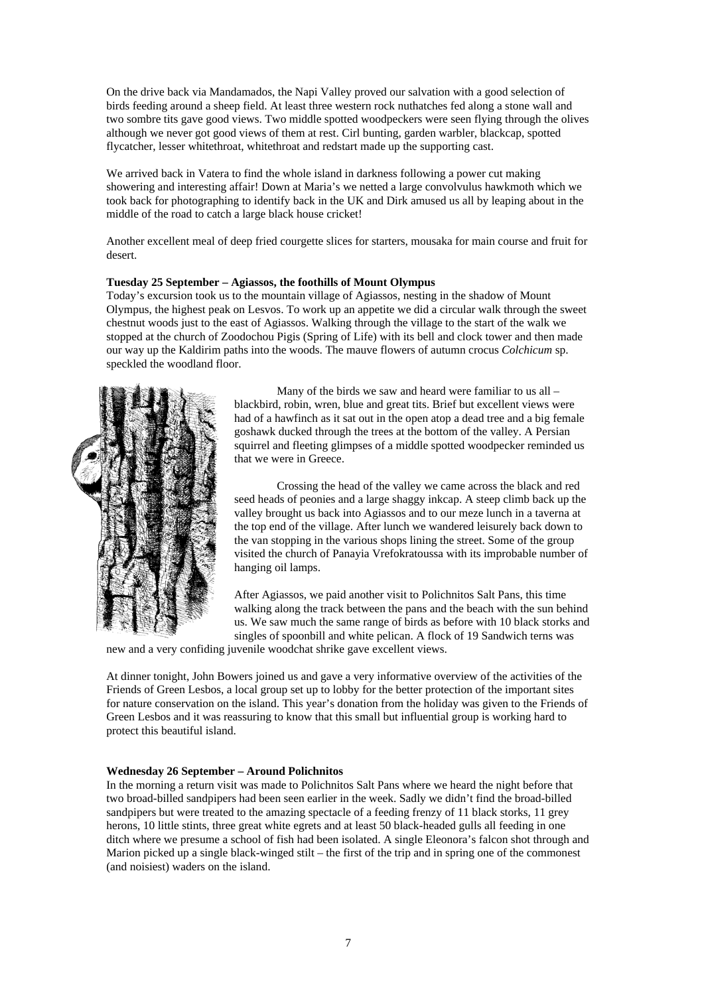On the drive back via Mandamados, the Napi Valley proved our salvation with a good selection of birds feeding around a sheep field. At least three western rock nuthatches fed along a stone wall and two sombre tits gave good views. Two middle spotted woodpeckers were seen flying through the olives although we never got good views of them at rest. Cirl bunting, garden warbler, blackcap, spotted flycatcher, lesser whitethroat, whitethroat and redstart made up the supporting cast.

We arrived back in Vatera to find the whole island in darkness following a power cut making showering and interesting affair! Down at Maria's we netted a large convolvulus hawkmoth which we took back for photographing to identify back in the UK and Dirk amused us all by leaping about in the middle of the road to catch a large black house cricket!

Another excellent meal of deep fried courgette slices for starters, mousaka for main course and fruit for desert.

#### **Tuesday 25 September – Agiassos, the foothills of Mount Olympus**

Today's excursion took us to the mountain village of Agiassos, nesting in the shadow of Mount Olympus, the highest peak on Lesvos. To work up an appetite we did a circular walk through the sweet chestnut woods just to the east of Agiassos. Walking through the village to the start of the walk we stopped at the church of Zoodochou Pigis (Spring of Life) with its bell and clock tower and then made our way up the Kaldirim paths into the woods. The mauve flowers of autumn crocus *Colchicum* sp. speckled the woodland floor.



Many of the birds we saw and heard were familiar to us all – blackbird, robin, wren, blue and great tits. Brief but excellent views were had of a hawfinch as it sat out in the open atop a dead tree and a big female goshawk ducked through the trees at the bottom of the valley. A Persian squirrel and fleeting glimpses of a middle spotted woodpecker reminded us that we were in Greece.

Crossing the head of the valley we came across the black and red seed heads of peonies and a large shaggy inkcap. A steep climb back up the valley brought us back into Agiassos and to our meze lunch in a taverna at the top end of the village. After lunch we wandered leisurely back down to the van stopping in the various shops lining the street. Some of the group visited the church of Panayia Vrefokratoussa with its improbable number of hanging oil lamps.

After Agiassos, we paid another visit to Polichnitos Salt Pans, this time walking along the track between the pans and the beach with the sun behind us. We saw much the same range of birds as before with 10 black storks and singles of spoonbill and white pelican. A flock of 19 Sandwich terns was

new and a very confiding juvenile woodchat shrike gave excellent views.

At dinner tonight, John Bowers joined us and gave a very informative overview of the activities of the Friends of Green Lesbos, a local group set up to lobby for the better protection of the important sites for nature conservation on the island. This year's donation from the holiday was given to the Friends of Green Lesbos and it was reassuring to know that this small but influential group is working hard to protect this beautiful island.

#### **Wednesday 26 September – Around Polichnitos**

In the morning a return visit was made to Polichnitos Salt Pans where we heard the night before that two broad-billed sandpipers had been seen earlier in the week. Sadly we didn't find the broad-billed sandpipers but were treated to the amazing spectacle of a feeding frenzy of 11 black storks, 11 grey herons, 10 little stints, three great white egrets and at least 50 black-headed gulls all feeding in one ditch where we presume a school of fish had been isolated. A single Eleonora's falcon shot through and Marion picked up a single black-winged stilt – the first of the trip and in spring one of the commonest (and noisiest) waders on the island.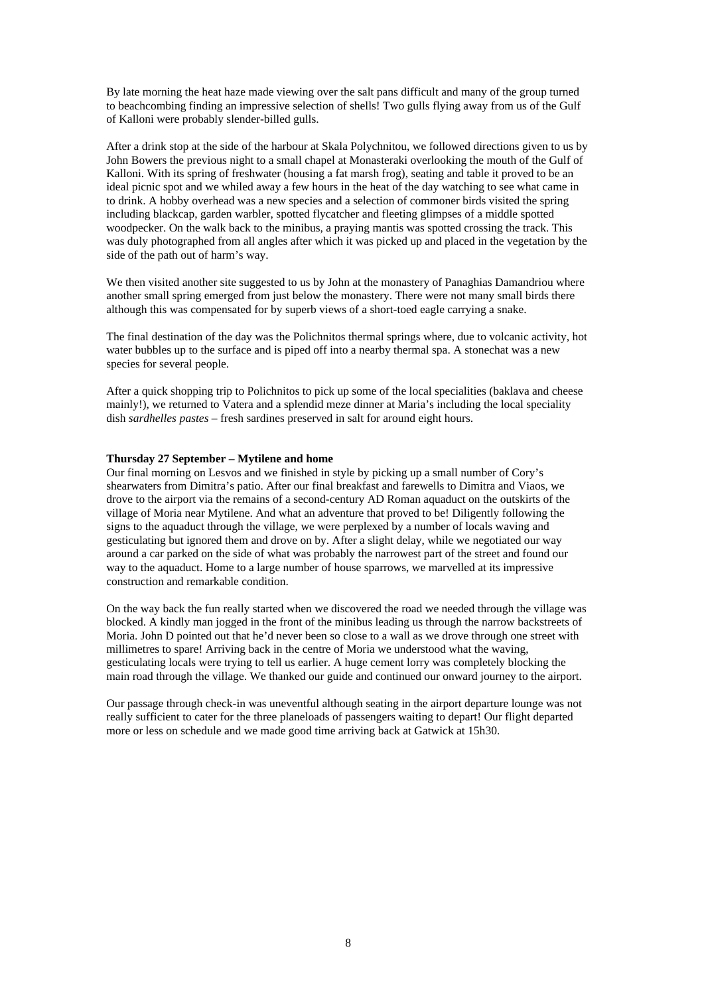By late morning the heat haze made viewing over the salt pans difficult and many of the group turned to beachcombing finding an impressive selection of shells! Two gulls flying away from us of the Gulf of Kalloni were probably slender-billed gulls.

After a drink stop at the side of the harbour at Skala Polychnitou, we followed directions given to us by John Bowers the previous night to a small chapel at Monasteraki overlooking the mouth of the Gulf of Kalloni. With its spring of freshwater (housing a fat marsh frog), seating and table it proved to be an ideal picnic spot and we whiled away a few hours in the heat of the day watching to see what came in to drink. A hobby overhead was a new species and a selection of commoner birds visited the spring including blackcap, garden warbler, spotted flycatcher and fleeting glimpses of a middle spotted woodpecker. On the walk back to the minibus, a praying mantis was spotted crossing the track. This was duly photographed from all angles after which it was picked up and placed in the vegetation by the side of the path out of harm's way.

We then visited another site suggested to us by John at the monastery of Panaghias Damandriou where another small spring emerged from just below the monastery. There were not many small birds there although this was compensated for by superb views of a short-toed eagle carrying a snake.

The final destination of the day was the Polichnitos thermal springs where, due to volcanic activity, hot water bubbles up to the surface and is piped off into a nearby thermal spa. A stonechat was a new species for several people.

After a quick shopping trip to Polichnitos to pick up some of the local specialities (baklava and cheese mainly!), we returned to Vatera and a splendid meze dinner at Maria's including the local speciality dish *sardhelles pastes* – fresh sardines preserved in salt for around eight hours.

#### **Thursday 27 September – Mytilene and home**

Our final morning on Lesvos and we finished in style by picking up a small number of Cory's shearwaters from Dimitra's patio. After our final breakfast and farewells to Dimitra and Viaos, we drove to the airport via the remains of a second-century AD Roman aquaduct on the outskirts of the village of Moria near Mytilene. And what an adventure that proved to be! Diligently following the signs to the aquaduct through the village, we were perplexed by a number of locals waving and gesticulating but ignored them and drove on by. After a slight delay, while we negotiated our way around a car parked on the side of what was probably the narrowest part of the street and found our way to the aquaduct. Home to a large number of house sparrows, we marvelled at its impressive construction and remarkable condition.

On the way back the fun really started when we discovered the road we needed through the village was blocked. A kindly man jogged in the front of the minibus leading us through the narrow backstreets of Moria. John D pointed out that he'd never been so close to a wall as we drove through one street with millimetres to spare! Arriving back in the centre of Moria we understood what the waving, gesticulating locals were trying to tell us earlier. A huge cement lorry was completely blocking the main road through the village. We thanked our guide and continued our onward journey to the airport.

Our passage through check-in was uneventful although seating in the airport departure lounge was not really sufficient to cater for the three planeloads of passengers waiting to depart! Our flight departed more or less on schedule and we made good time arriving back at Gatwick at 15h30.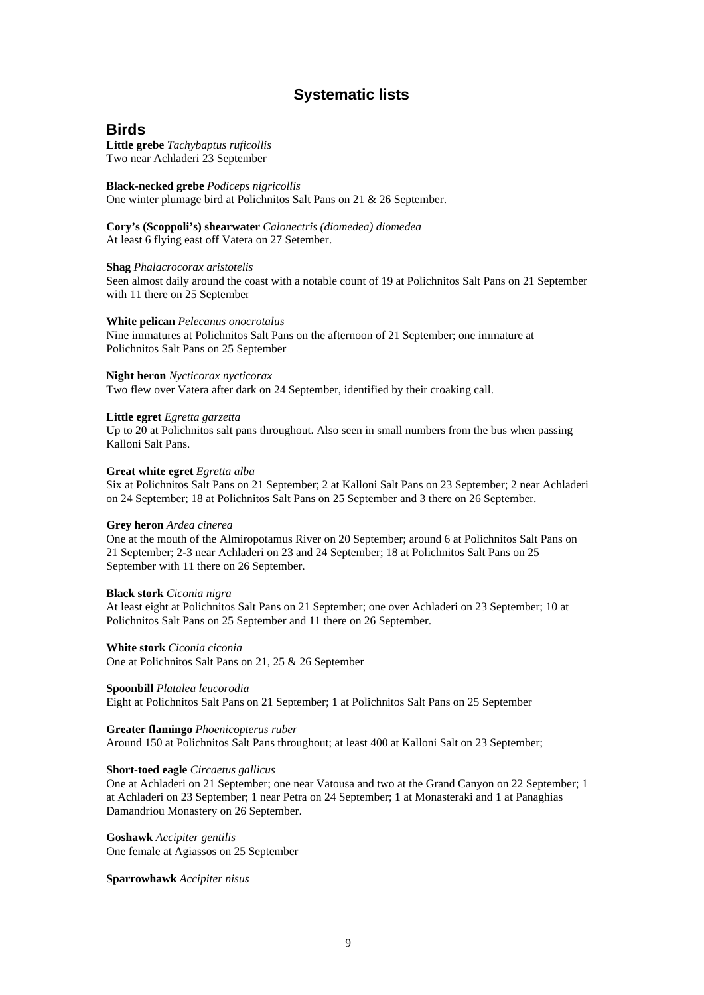# **Systematic lists**

#### **Birds**

**Little grebe** *Tachybaptus ruficollis* Two near Achladeri 23 September

#### **Black-necked grebe** *Podiceps nigricollis*

One winter plumage bird at Polichnitos Salt Pans on 21 & 26 September.

**Cory's (Scoppoli's) shearwater** *Calonectris (diomedea) diomedea* At least 6 flying east off Vatera on 27 Setember.

#### **Shag** *Phalacrocorax aristotelis*

Seen almost daily around the coast with a notable count of 19 at Polichnitos Salt Pans on 21 September with 11 there on 25 September

#### **White pelican** *Pelecanus onocrotalus*

Nine immatures at Polichnitos Salt Pans on the afternoon of 21 September; one immature at Polichnitos Salt Pans on 25 September

#### **Night heron** *Nycticorax nycticorax*

Two flew over Vatera after dark on 24 September, identified by their croaking call.

#### **Little egret** *Egretta garzetta*

Up to 20 at Polichnitos salt pans throughout. Also seen in small numbers from the bus when passing Kalloni Salt Pans.

#### **Great white egret** *Egretta alba*

Six at Polichnitos Salt Pans on 21 September; 2 at Kalloni Salt Pans on 23 September; 2 near Achladeri on 24 September; 18 at Polichnitos Salt Pans on 25 September and 3 there on 26 September.

#### **Grey heron** *Ardea cinerea*

One at the mouth of the Almiropotamus River on 20 September; around 6 at Polichnitos Salt Pans on 21 September; 2-3 near Achladeri on 23 and 24 September; 18 at Polichnitos Salt Pans on 25 September with 11 there on 26 September.

#### **Black stork** *Ciconia nigra*

At least eight at Polichnitos Salt Pans on 21 September; one over Achladeri on 23 September; 10 at Polichnitos Salt Pans on 25 September and 11 there on 26 September.

#### **White stork** *Ciconia ciconia*

One at Polichnitos Salt Pans on 21, 25 & 26 September

#### **Spoonbill** *Platalea leucorodia*

Eight at Polichnitos Salt Pans on 21 September; 1 at Polichnitos Salt Pans on 25 September

#### **Greater flamingo** *Phoenicopterus ruber*

Around 150 at Polichnitos Salt Pans throughout; at least 400 at Kalloni Salt on 23 September;

#### **Short-toed eagle** *Circaetus gallicus*

One at Achladeri on 21 September; one near Vatousa and two at the Grand Canyon on 22 September; 1 at Achladeri on 23 September; 1 near Petra on 24 September; 1 at Monasteraki and 1 at Panaghias Damandriou Monastery on 26 September.

**Goshawk** *Accipiter gentilis* One female at Agiassos on 25 September

**Sparrowhawk** *Accipiter nisus*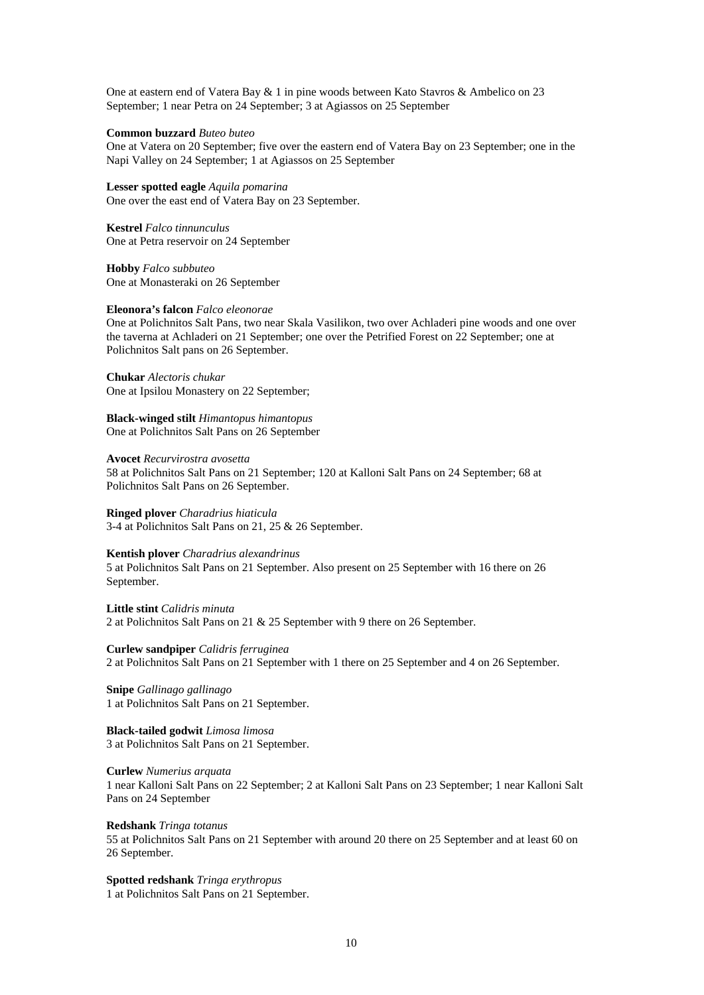One at eastern end of Vatera Bay & 1 in pine woods between Kato Stavros & Ambelico on 23 September; 1 near Petra on 24 September; 3 at Agiassos on 25 September

#### **Common buzzard** *Buteo buteo*

One at Vatera on 20 September; five over the eastern end of Vatera Bay on 23 September; one in the Napi Valley on 24 September; 1 at Agiassos on 25 September

**Lesser spotted eagle** *Aquila pomarina* One over the east end of Vatera Bay on 23 September.

**Kestrel** *Falco tinnunculus* One at Petra reservoir on 24 September

**Hobby** *Falco subbuteo* One at Monasteraki on 26 September

#### **Eleonora's falcon** *Falco eleonorae*

One at Polichnitos Salt Pans, two near Skala Vasilikon, two over Achladeri pine woods and one over the taverna at Achladeri on 21 September; one over the Petrified Forest on 22 September; one at Polichnitos Salt pans on 26 September.

**Chukar** *Alectoris chukar* One at Ipsilou Monastery on 22 September;

**Black-winged stilt** *Himantopus himantopus* One at Polichnitos Salt Pans on 26 September

**Avocet** *Recurvirostra avosetta* 58 at Polichnitos Salt Pans on 21 September; 120 at Kalloni Salt Pans on 24 September; 68 at Polichnitos Salt Pans on 26 September.

**Ringed plover** *Charadrius hiaticula* 3-4 at Polichnitos Salt Pans on 21, 25 & 26 September.

#### **Kentish plover** *Charadrius alexandrinus*

5 at Polichnitos Salt Pans on 21 September. Also present on 25 September with 16 there on 26 September.

**Little stint** *Calidris minuta* 2 at Polichnitos Salt Pans on 21 & 25 September with 9 there on 26 September.

**Curlew sandpiper** *Calidris ferruginea* 2 at Polichnitos Salt Pans on 21 September with 1 there on 25 September and 4 on 26 September.

**Snipe** *Gallinago gallinago* 1 at Polichnitos Salt Pans on 21 September.

**Black-tailed godwit** *Limosa limosa* 3 at Polichnitos Salt Pans on 21 September.

**Curlew** *Numerius arquata*

1 near Kalloni Salt Pans on 22 September; 2 at Kalloni Salt Pans on 23 September; 1 near Kalloni Salt Pans on 24 September

**Redshank** *Tringa totanus*

55 at Polichnitos Salt Pans on 21 September with around 20 there on 25 September and at least 60 on 26 September.

**Spotted redshank** *Tringa erythropus* 1 at Polichnitos Salt Pans on 21 September.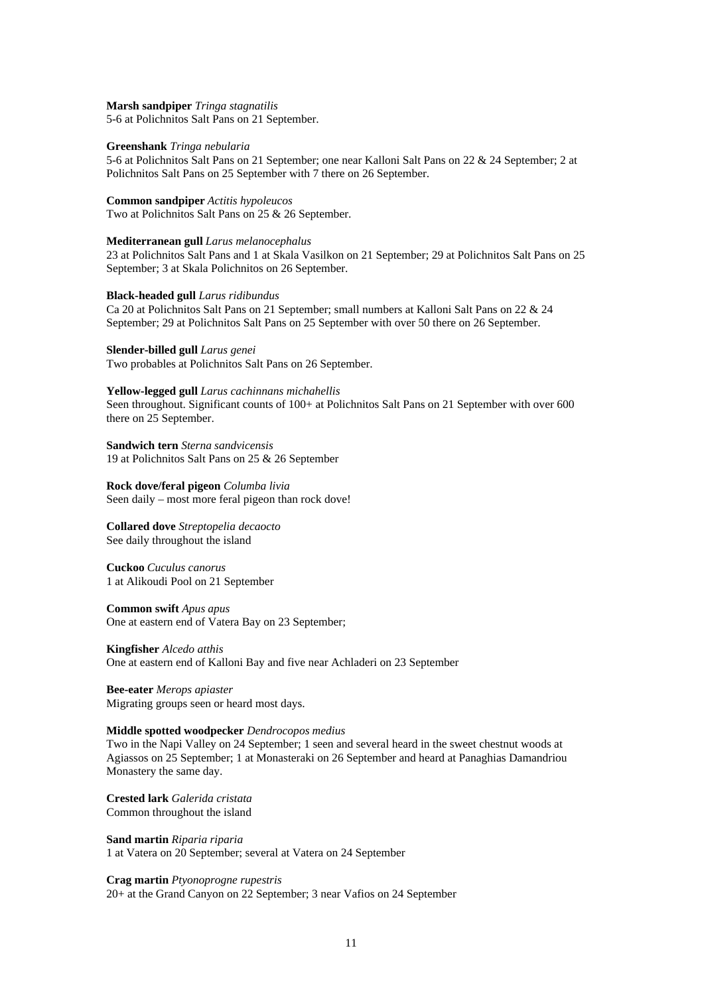#### **Marsh sandpiper** *Tringa stagnatilis*

5-6 at Polichnitos Salt Pans on 21 September.

#### **Greenshank** *Tringa nebularia*

5-6 at Polichnitos Salt Pans on 21 September; one near Kalloni Salt Pans on 22 & 24 September; 2 at Polichnitos Salt Pans on 25 September with 7 there on 26 September.

#### **Common sandpiper** *Actitis hypoleucos*

Two at Polichnitos Salt Pans on 25 & 26 September.

#### **Mediterranean gull** *Larus melanocephalus*

23 at Polichnitos Salt Pans and 1 at Skala Vasilkon on 21 September; 29 at Polichnitos Salt Pans on 25 September; 3 at Skala Polichnitos on 26 September.

#### **Black-headed gull** *Larus ridibundus*

Ca 20 at Polichnitos Salt Pans on 21 September; small numbers at Kalloni Salt Pans on 22 & 24 September; 29 at Polichnitos Salt Pans on 25 September with over 50 there on 26 September.

#### **Slender-billed gull** *Larus genei*

Two probables at Polichnitos Salt Pans on 26 September.

#### **Yellow-legged gull** *Larus cachinnans michahellis*

Seen throughout. Significant counts of 100+ at Polichnitos Salt Pans on 21 September with over 600 there on 25 September.

**Sandwich tern** *Sterna sandvicensis* 19 at Polichnitos Salt Pans on 25 & 26 September

# **Rock dove/feral pigeon** *Columba livia*

Seen daily – most more feral pigeon than rock dove!

# **Collared dove** *Streptopelia decaocto*

See daily throughout the island

**Cuckoo** *Cuculus canorus* 1 at Alikoudi Pool on 21 September

#### **Common swift** *Apus apus*

One at eastern end of Vatera Bay on 23 September;

#### **Kingfisher** *Alcedo atthis*

One at eastern end of Kalloni Bay and five near Achladeri on 23 September

**Bee-eater** *Merops apiaster* Migrating groups seen or heard most days.

#### **Middle spotted woodpecker** *Dendrocopos medius*

Two in the Napi Valley on 24 September; 1 seen and several heard in the sweet chestnut woods at Agiassos on 25 September; 1 at Monasteraki on 26 September and heard at Panaghias Damandriou Monastery the same day.

**Crested lark** *Galerida cristata* Common throughout the island

**Sand martin** *Riparia riparia* 1 at Vatera on 20 September; several at Vatera on 24 September

#### **Crag martin** *Ptyonoprogne rupestris*

20+ at the Grand Canyon on 22 September; 3 near Vafios on 24 September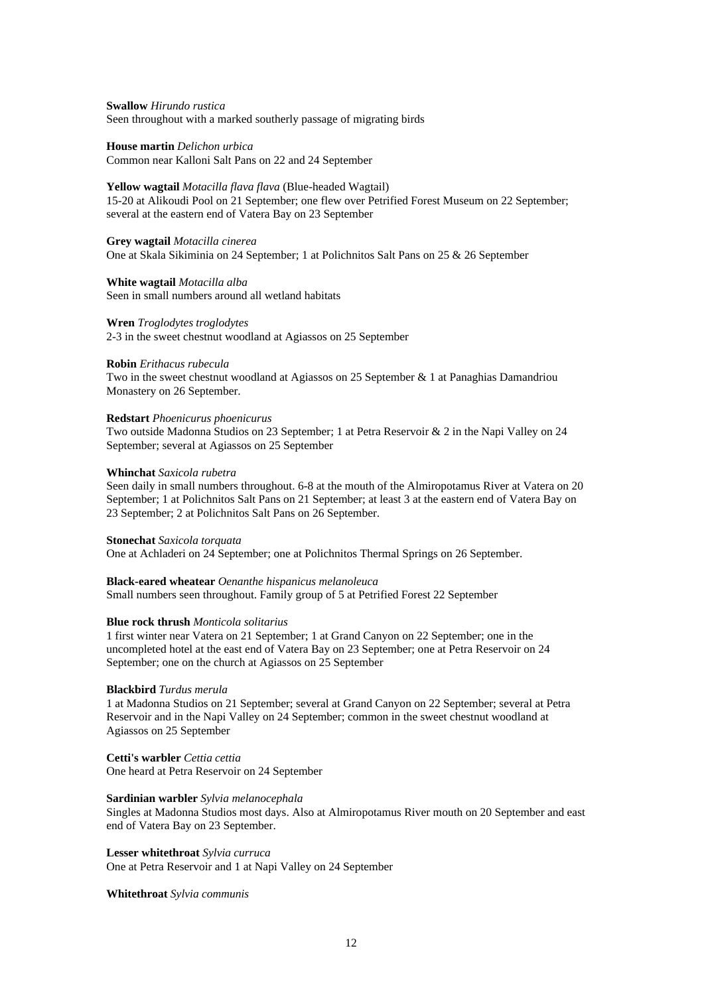**Swallow** *Hirundo rustica* Seen throughout with a marked southerly passage of migrating birds

**House martin** *Delichon urbica* Common near Kalloni Salt Pans on 22 and 24 September

#### **Yellow wagtail** *Motacilla flava flava* (Blue-headed Wagtail)

15-20 at Alikoudi Pool on 21 September; one flew over Petrified Forest Museum on 22 September; several at the eastern end of Vatera Bay on 23 September

#### **Grey wagtail** *Motacilla cinerea*

One at Skala Sikiminia on 24 September; 1 at Polichnitos Salt Pans on 25 & 26 September

#### **White wagtail** *Motacilla alba*

Seen in small numbers around all wetland habitats

#### **Wren** *Troglodytes troglodytes*

2-3 in the sweet chestnut woodland at Agiassos on 25 September

#### **Robin** *Erithacus rubecula*

Two in the sweet chestnut woodland at Agiassos on 25 September & 1 at Panaghias Damandriou Monastery on 26 September.

#### **Redstart** *Phoenicurus phoenicurus*

Two outside Madonna Studios on 23 September; 1 at Petra Reservoir & 2 in the Napi Valley on 24 September; several at Agiassos on 25 September

#### **Whinchat** *Saxicola rubetra*

Seen daily in small numbers throughout. 6-8 at the mouth of the Almiropotamus River at Vatera on 20 September; 1 at Polichnitos Salt Pans on 21 September; at least 3 at the eastern end of Vatera Bay on 23 September; 2 at Polichnitos Salt Pans on 26 September.

#### **Stonechat** *Saxicola torquata*

One at Achladeri on 24 September; one at Polichnitos Thermal Springs on 26 September.

#### **Black-eared wheatear** *Oenanthe hispanicus melanoleuca*

Small numbers seen throughout. Family group of 5 at Petrified Forest 22 September

#### **Blue rock thrush** *Monticola solitarius*

1 first winter near Vatera on 21 September; 1 at Grand Canyon on 22 September; one in the uncompleted hotel at the east end of Vatera Bay on 23 September; one at Petra Reservoir on 24 September; one on the church at Agiassos on 25 September

#### **Blackbird** *Turdus merula*

1 at Madonna Studios on 21 September; several at Grand Canyon on 22 September; several at Petra Reservoir and in the Napi Valley on 24 September; common in the sweet chestnut woodland at Agiassos on 25 September

#### **Cetti's warbler** *Cettia cettia*

One heard at Petra Reservoir on 24 September

#### **Sardinian warbler** *Sylvia melanocephala*

Singles at Madonna Studios most days. Also at Almiropotamus River mouth on 20 September and east end of Vatera Bay on 23 September.

**Lesser whitethroat** *Sylvia curruca*

One at Petra Reservoir and 1 at Napi Valley on 24 September

**Whitethroat** *Sylvia communis*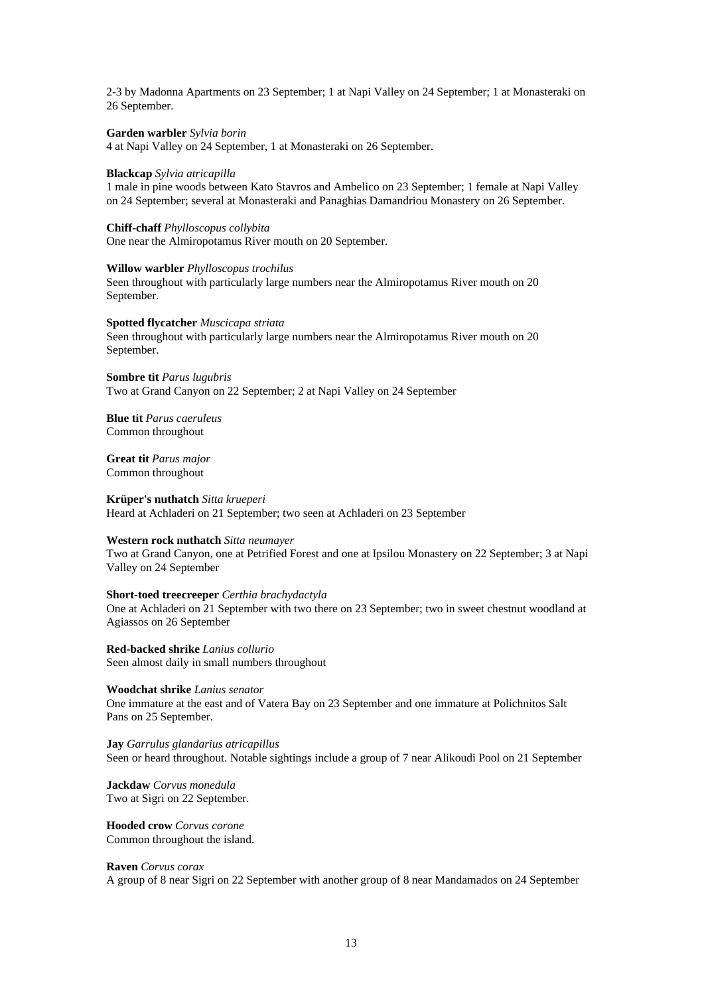2-3 by Madonna Apartments on 23 September; 1 at Napi Valley on 24 September; 1 at Monasteraki on 26 September.

#### **Garden warbler** *Sylvia borin*

4 at Napi Valley on 24 September, 1 at Monasteraki on 26 September.

#### **Blackcap** *Sylvia atricapilla*

1 male in pine woods between Kato Stavros and Ambelico on 23 September; 1 female at Napi Valley on 24 September; several at Monasteraki and Panaghias Damandriou Monastery on 26 September.

# **Chiff-chaff** *Phylloscopus collybita*

One near the Almiropotamus River mouth on 20 September.

#### **Willow warbler** *Phylloscopus trochilus*

Seen throughout with particularly large numbers near the Almiropotamus River mouth on 20 September.

#### **Spotted flycatcher** *Muscicapa striata*

Seen throughout with particularly large numbers near the Almiropotamus River mouth on 20 September.

#### **Sombre tit** *Parus lugubris* Two at Grand Canyon on 22 September; 2 at Napi Valley on 24 September

**Blue tit** *Parus caeruleus* Common throughout

#### **Great tit** *Parus major* Common throughout

#### **Krüper's nuthatch** *Sitta krueperi*

Heard at Achladeri on 21 September; two seen at Achladeri on 23 September

#### **Western rock nuthatch** *Sitta neumayer*

Two at Grand Canyon, one at Petrified Forest and one at Ipsilou Monastery on 22 September; 3 at Napi Valley on 24 September

#### **Short-toed treecreeper** *Certhia brachydactyla*

One at Achladeri on 21 September with two there on 23 September; two in sweet chestnut woodland at Agiassos on 26 September

**Red-backed shrike** *Lanius collurio* Seen almost daily in small numbers throughout

**Woodchat shrike** *Lanius senator* One immature at the east and of Vatera Bay on 23 September and one immature at Polichnitos Salt Pans on 25 September.

**Jay** *Garrulus glandarius atricapillus* Seen or heard throughout. Notable sightings include a group of 7 near Alikoudi Pool on 21 September

**Jackdaw** *Corvus monedula* Two at Sigri on 22 September.

**Hooded crow** *Corvus corone* Common throughout the island.

#### **Raven** *Corvus corax*

A group of 8 near Sigri on 22 September with another group of 8 near Mandamados on 24 September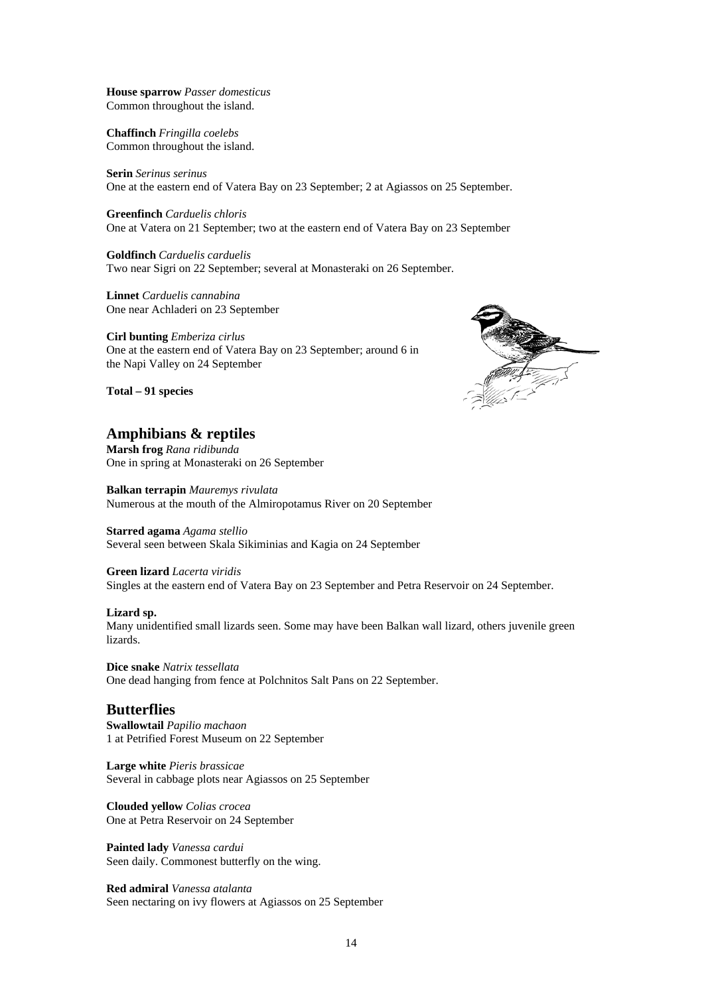**House sparrow** *Passer domesticus* Common throughout the island.

**Chaffinch** *Fringilla coelebs* Common throughout the island.

**Serin** *Serinus serinus* One at the eastern end of Vatera Bay on 23 September; 2 at Agiassos on 25 September.

**Greenfinch** *Carduelis chloris* One at Vatera on 21 September; two at the eastern end of Vatera Bay on 23 September

**Goldfinch** *Carduelis carduelis* Two near Sigri on 22 September; several at Monasteraki on 26 September.

**Linnet** *Carduelis cannabina* One near Achladeri on 23 September

**Cirl bunting** *Emberiza cirlus* One at the eastern end of Vatera Bay on 23 September; around 6 in the Napi Valley on 24 September

**Total – 91 species**

#### **Amphibians & reptiles**

**Marsh frog** *Rana ridibunda* One in spring at Monasteraki on 26 September

**Balkan terrapin** *Mauremys rivulata* Numerous at the mouth of the Almiropotamus River on 20 September

#### **Starred agama** *Agama stellio*

Several seen between Skala Sikiminias and Kagia on 24 September

#### **Green lizard** *Lacerta viridis*

Singles at the eastern end of Vatera Bay on 23 September and Petra Reservoir on 24 September.

#### **Lizard sp.**

Many unidentified small lizards seen. Some may have been Balkan wall lizard, others juvenile green lizards.

**Dice snake** *Natrix tessellata* One dead hanging from fence at Polchnitos Salt Pans on 22 September.

#### **Butterflies**

**Swallowtail** *Papilio machaon* 1 at Petrified Forest Museum on 22 September

**Large white** *Pieris brassicae* Several in cabbage plots near Agiassos on 25 September

**Clouded yellow** *Colias crocea* One at Petra Reservoir on 24 September

**Painted lady** *Vanessa cardui* Seen daily. Commonest butterfly on the wing.

**Red admiral** *Vanessa atalanta* Seen nectaring on ivy flowers at Agiassos on 25 September

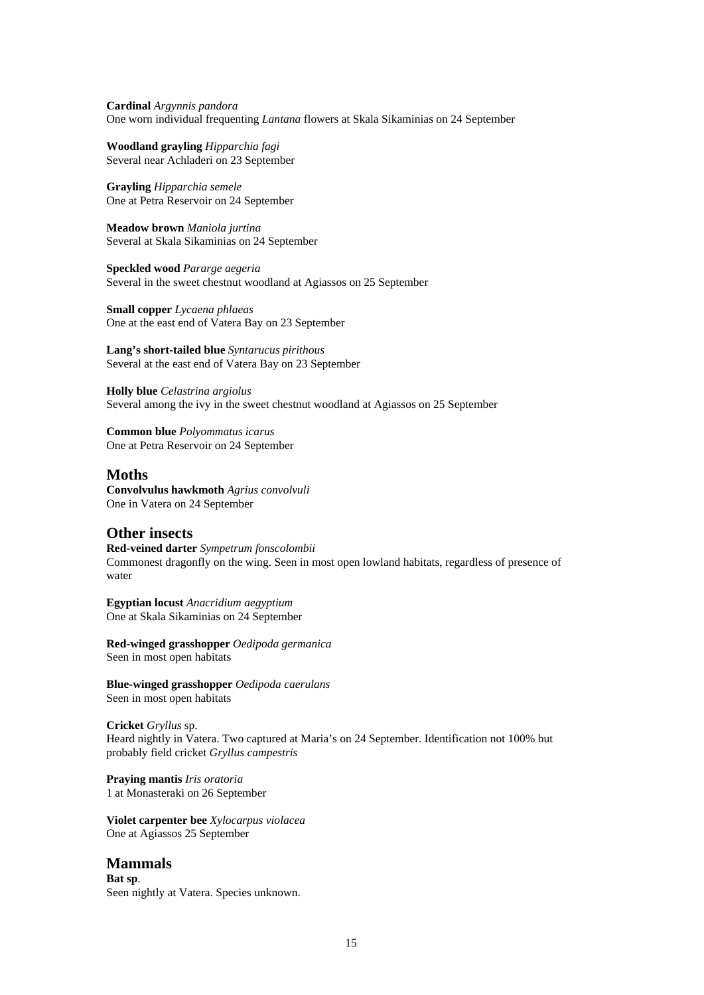**Cardinal** *Argynnis pandora* One worn individual frequenting *Lantana* flowers at Skala Sikaminias on 24 September

**Woodland grayling** *Hipparchia fagi* Several near Achladeri on 23 September

**Grayling** *Hipparchia semele* One at Petra Reservoir on 24 September

**Meadow brown** *Maniola jurtina* Several at Skala Sikaminias on 24 September

**Speckled wood** *Pararge aegeria* Several in the sweet chestnut woodland at Agiassos on 25 September

**Small copper** *Lycaena phlaeas* One at the east end of Vatera Bay on 23 September

**Lang's short-tailed blue** *Syntarucus pirithous* Several at the east end of Vatera Bay on 23 September

**Holly blue** *Celastrina argiolus* Several among the ivy in the sweet chestnut woodland at Agiassos on 25 September

**Common blue** *Polyommatus icarus* One at Petra Reservoir on 24 September

#### **Moths**

**Convolvulus hawkmoth** *Agrius convolvuli* One in Vatera on 24 September

#### **Other insects**

**Red-veined darter** *Sympetrum fonscolombii* Commonest dragonfly on the wing. Seen in most open lowland habitats, regardless of presence of water

**Egyptian locust** *Anacridium aegyptium* One at Skala Sikaminias on 24 September

**Red-winged grasshopper** *Oedipoda germanica* Seen in most open habitats

**Blue-winged grasshopper** *Oedipoda caerulans* Seen in most open habitats

**Cricket** *Gryllus* sp. Heard nightly in Vatera. Two captured at Maria's on 24 September. Identification not 100% but probably field cricket *Gryllus campestris*

**Praying mantis** *Iris oratoria* 1 at Monasteraki on 26 September

**Violet carpenter bee** *Xylocarpus violacea* One at Agiassos 25 September

#### **Mammals**

**Bat sp**. Seen nightly at Vatera. Species unknown.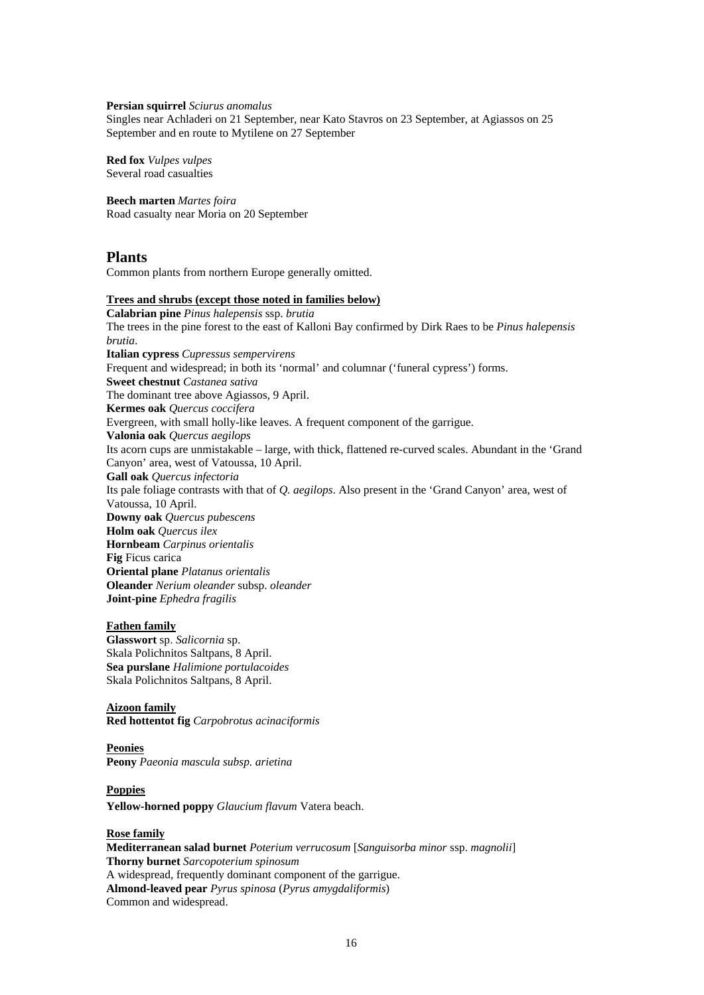#### **Persian squirrel** *Sciurus anomalus*

Singles near Achladeri on 21 September, near Kato Stavros on 23 September, at Agiassos on 25 September and en route to Mytilene on 27 September

**Red fox** *Vulpes vulpes* Several road casualties

#### **Beech marten** *Martes foira*

Road casualty near Moria on 20 September

#### **Plants**

Common plants from northern Europe generally omitted.

#### **Trees and shrubs (except those noted in families below)**

**Calabrian pine** *Pinus halepensis* ssp. *brutia* The trees in the pine forest to the east of Kalloni Bay confirmed by Dirk Raes to be *Pinus halepensis brutia*. **Italian cypress** *Cupressus sempervirens* Frequent and widespread; in both its 'normal' and columnar ('funeral cypress') forms. **Sweet chestnut** *Castanea sativa* The dominant tree above Agiassos, 9 April. **Kermes oak** *Quercus coccifera* Evergreen, with small holly-like leaves. A frequent component of the garrigue. **Valonia oak** *Quercus aegilops* Its acorn cups are unmistakable – large, with thick, flattened re-curved scales. Abundant in the 'Grand Canyon' area, west of Vatoussa, 10 April. **Gall oak** *Quercus infectoria* Its pale foliage contrasts with that of *Q. aegilops*. Also present in the 'Grand Canyon' area, west of Vatoussa, 10 April. **Downy oak** *Quercus pubescens* **Holm oak** *Quercus ilex* **Hornbeam** *Carpinus orientalis* **Fig** Ficus carica **Oriental plane** *Platanus orientalis* **Oleander** *Nerium oleander* subsp. *oleander* **Joint-pine** *Ephedra fragilis*

#### **Fathen family**

**Glasswort** sp. *Salicornia* sp. Skala Polichnitos Saltpans, 8 April. **Sea purslane** *Halimione portulacoides* Skala Polichnitos Saltpans, 8 April.

#### **Aizoon family Red hottentot fig** *Carpobrotus acinaciformis*

#### **Peonies Peony** *Paeonia mascula subsp. arietina*

#### **Poppies**

**Yellow-horned poppy** *Glaucium flavum* Vatera beach.

#### **Rose family**

**Mediterranean salad burnet** *Poterium verrucosum* [*Sanguisorba minor* ssp. *magnolii*] **Thorny burnet** *Sarcopoterium spinosum* A widespread, frequently dominant component of the garrigue. **Almond-leaved pear** *Pyrus spinosa* (*Pyrus amygdaliformis*) Common and widespread.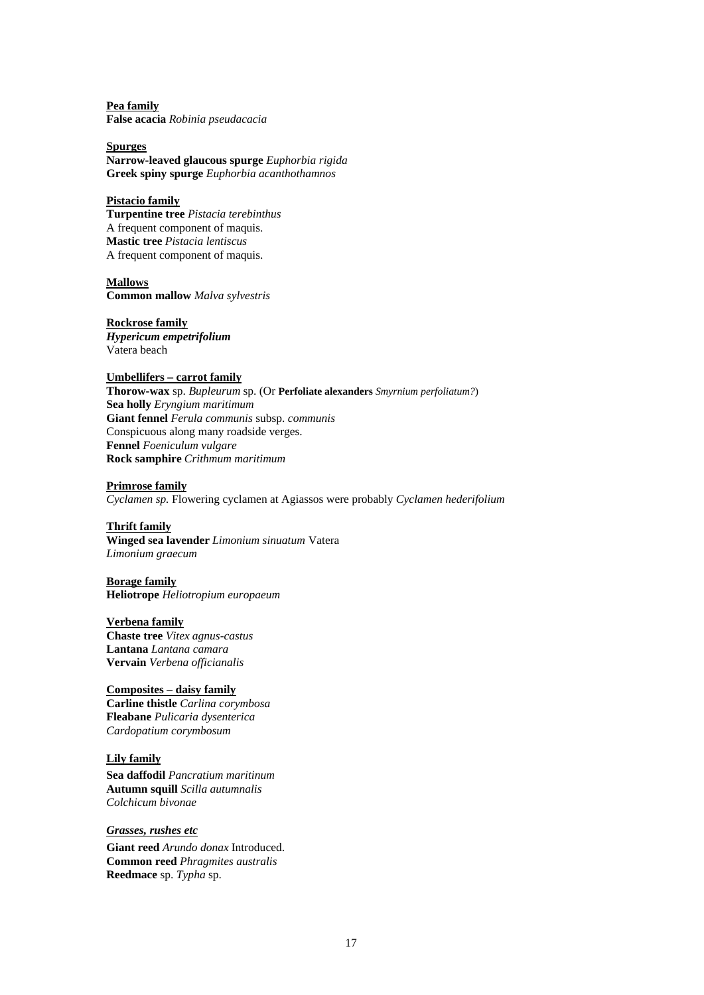**Pea family False acacia** *Robinia pseudacacia*

**Spurges Narrow-leaved glaucous spurge** *Euphorbia rigida* **Greek spiny spurge** *Euphorbia acanthothamnos*

#### **Pistacio family**

**Turpentine tree** *Pistacia terebinthus* A frequent component of maquis. **Mastic tree** *Pistacia lentiscus* A frequent component of maquis.

**Mallows Common mallow** *Malva sylvestris*

**Rockrose family** *Hypericum empetrifolium* Vatera beach

#### **Umbellifers – carrot family**

**Thorow-wax** sp. *Bupleurum* sp. (Or **Perfoliate alexanders** *Smyrnium perfoliatum?*) **Sea holly** *Eryngium maritimum* **Giant fennel** *Ferula communis* subsp. *communis* Conspicuous along many roadside verges. **Fennel** *Foeniculum vulgare* **Rock samphire** *Crithmum maritimum*

**Primrose family** *Cyclamen sp.* Flowering cyclamen at Agiassos were probably *Cyclamen hederifolium*

#### **Thrift family**

**Winged sea lavender** *Limonium sinuatum* Vatera *Limonium graecum*

**Borage family Heliotrope** *Heliotropium europaeum*

**Verbena family Chaste tree** *Vitex agnus-castus* **Lantana** *Lantana camara* **Vervain** *Verbena officianalis*

#### **Composites – daisy family**

**Carline thistle** *Carlina corymbosa* **Fleabane** *Pulicaria dysenterica Cardopatium corymbosum*

#### **Lily family**

**Sea daffodil** *Pancratium maritinum* **Autumn squill** *Scilla autumnalis Colchicum bivonae*

*Grasses, rushes etc*

**Giant reed** *Arundo donax* Introduced. **Common reed** *Phragmites australis* **Reedmace** sp. *Typha* sp.